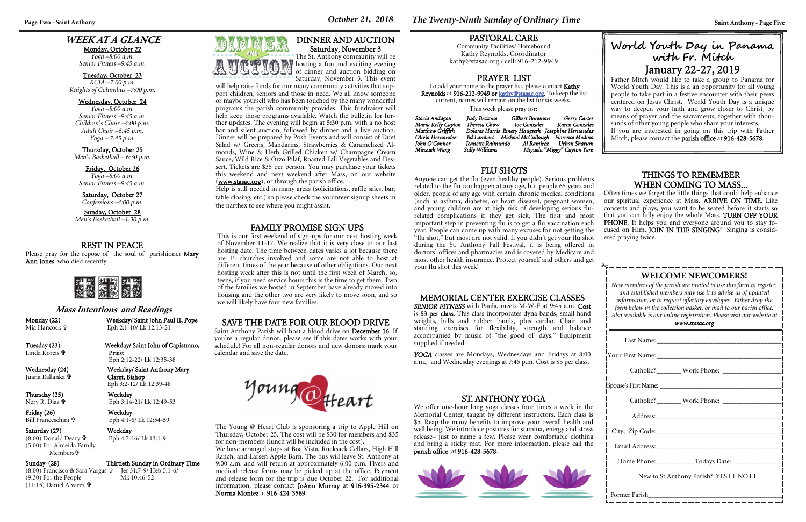# **WEEK AT A GLANCE**

Monday, October 22 *Yoga –8:00 a.m.* 

*Senior Fitness –9:45 a.m.* 

Tuesday, October 23 *RCIA –7:00 p.m. Knights of Columbus –7:00 p.m.* 

Sunday, October 28 *Men's Basketball –1:30 p.m.* 

Wednesday, October 24 *Yoga –8:00 a.m. Senior Fitness –9:45 a.m. Children's Choir –4:00 p.m. Adult Choir –6:45 p.m. Yoga – 7:45 p.m.* 

Thursday, October 25 *Men's Basketball – 6:30 p.m.* 

| www.stasac.org                                       |  |  |  |
|------------------------------------------------------|--|--|--|
|                                                      |  |  |  |
|                                                      |  |  |  |
|                                                      |  |  |  |
|                                                      |  |  |  |
|                                                      |  |  |  |
|                                                      |  |  |  |
|                                                      |  |  |  |
|                                                      |  |  |  |
|                                                      |  |  |  |
| New to St Anthony Parish? YES $\square$ NO $\square$ |  |  |  |
|                                                      |  |  |  |

Friday, October 26 *Yoga –8:00 a.m. Senior Fitness –9:45 a.m.* 

Saturday, October 27 *Confessions –4:00 p.m.* 

# **WELCOME NEWCOMERS!**

*New members of the parish are invited to use this form to register, and established members may use it to advise us of updated information, or to request offertory envelopes. Either drop the form below in the collection basket, or mail to our parish office. Also available is our online registration. Please visit our website at* 

Friday (26) Weekday Bill Franceschini

Saturday (27) Weekday  $(8:00)$  Donald Deary  $\mathbf{\hat{P}}$ (5:00) For Almeida Family Members

YOGA classes are Mondays, Wednesdays and Fridays at 8:00 a.m., and Wednesday evenings at 7:45 p.m. Cost is \$5 per class.

# REST IN PEACE

Please pray for the repose of the soul of parishioner **Mary** Ann Jones who died recently.



#### **Mass Intentions and Readings**

Monday (22) Weekday/ Saint John Paul II, Pope Eph 2:1-10/ Lk 12:13-21

Mia Hancock

Tuesday (23) Weekday/ Saint John of Capistrano, Priest Eph 2:12-22/ Lk 12;35-38

Linda Koreis

Juana Rallanka

Wednesday (24) Weekday/ Saint Anthony Mary Claret, Bishop Eph 3:2-12/ Lk 12:39-48

Thursday (25) Weekday Nery R. Diaz

Eph 3:14-21/ Lk 12:49-53

Eph 4:1-6/ Lk 12:54-59

Eph 4:7-16/ Lk 13:1-9

#### Sunday (28) Thirtieth Sunday in Ordinary Time



(8:00) Francisco & Sara Vargas Jer 31:7-9/ Heb 5:1-6/ (9:30) For the People Mk 10:46-52 (11:15) Daniel Alvarez

#### MEMORIAL CENTER EXERCISE CLASSES

*SENIOR FITNESS* with Paula, meets M-W-F at 9:45 a.m. Cost is \$3 per class. This class incorporates dyna bands, small hand weights, balls and rubber bands, plus cardio. Chair and standing exercises for flexibility, strength and balance accompanied by music of "the good ol' days." Equipment <sup>s</sup>upplied if needed.

### THINGS TO REMEMBER WHEN COMING TO MASS...

Often times we forget the little things that could help enhance our spiritual experience at Mass. ARRIVE ON TIME. Like concerts and plays, you want to be seated before it starts so that you can fully enjoy the whole Mass. TURN OFF YOUR PHONE. It helps you and everyone around you to stay focused on Him. JOIN IN THE SINGING! Singing is considered praying twice.

Salad w/ Greens, Mandarins, Strawberries & Caramelized Almonds, Wine & Herb Grilled Chicken w/ Champagne Cream Sauce, Wild Rice & Orzo Pilaf, Roasted Fall Vegetables and Dessert. Tickets are \$35 per person. You may purchase your tickets this weekend and next weekend after Mass, on our website (www.stasac.org), or through the parish office.

### PRAYER LIST

To add your name to the prayer list, please contact Kathy Reynolds at 916-212-9949 or kathy@stasac.org. To keep the list current, names will remain on the list for six weeks.

This week please pray for:

Father Mitch would like to take a group to Panama for World Youth Day. This is a an opportunity for all young people to take part in a festive encounter with their peers centered on Jesus Christ. World Youth Day is a unique way to deepen your faith and grow closer to Christ, by means of prayer and the sacraments, together with thousands of other young people who share your interests. If you are interested in going on this trip with Father Mitch, please contact the parish office at 916-428-5678.

| Stacia Andagan     | Judy Bezzone   | Gilbert Boreman              | Gerry Carter                                      |
|--------------------|----------------|------------------------------|---------------------------------------------------|
| Maria Kelly Cayton | Theresa Chow   | Ioe Gonzales                 | Karen Gonzales                                    |
| Matthew Griffith   |                |                              | Dolores Harris Emery Haugseth Josephine Hernandez |
| Olivia Hernandez   |                |                              | Ed Lambert Michael McCullough Florence Medina     |
| John O'Connor      |                | Ieanette Raimundo Al Ramirez | Urban Sharum                                      |
| Minsueh Weng       | Sally Williams |                              | Miguela "Miggy" Cayton Yere                       |

#### PASTORAL CARE

Community Facilities/ Homebound Kathy Reynolds, Coordinator kathy@stasac.org / cell: 916-212-9949

The Young @ Heart Club is sponsoring a trip to Apple Hill on Thursday, October 25. The cost will be \$30 for members and \$35 for non-members (lunch will be included in the cost).

We have arranged stops at Boa Vista, Rucksack Cellars, High Hill Ranch, and Larsen Apple Barn. The bus will leave St. Anthony at 9:00 a.m. and will return at approximately 6:00 p.m. Flyers and medical release forms may be picked up at the office. Payment and release form for the trip is due October 22. For additional information, please contact JoAnn Murray at 916-395-2344 or Norma Montez at 916-424-3569.

Page Two - Saint Anthony *Saint Anthony - Page Five <i>October 21, 2018**The Twenty-Ninth Sunday of Ordinary Time**Saint Anthony - Page Five* 

### FLU SHOTS

Anyone can get the flu (even healthy people). Serious problems related to the flu can happen at any age, but people 65 years and older, people of any age with certain chronic medical conditions (such as asthma, diabetes, or heart disease), pregnant women, and young children are at high risk of developing serious flurelated complications if they get sick. The first and most important step in preventing flu is to get a flu vaccination each year. People can come up with many excuses for not getting the "flu shot," but most are not valid. If you didn't get your flu shot during the St. Anthony Fall Festival, it is being offered in doctors' offices and pharmacies and is covered by Medicare and most other health insurance. Protect yourself and others and get your flu shot this week!

### SAVE THE DATE FOR OUR BLOOD DRIVE

Saint Anthony Parish will host a blood drive on December 16. If you're a regular donor, please see if this dates works with your schedule! For all non-regular donors and new donors: mark your calendar and save the date.



# DINNER AND AUCTION Saturday, November 3



of dinner and auction bidding on Saturday, November 3. This event will help raise funds for our many community activities that support children, seniors and those in need. We all know someone or maybe yourself who has been touched by the many wonderful programs the parish community provides. This fundraiser will help keep those programs available. Watch the bulletin for further updates. The evening will begin at 5:30 p.m. with a no host bar and silent auction, followed by dinner and a live auction. Dinner will be prepared by Posh Events and will consist of Duet

Help is still needed in many areas (solicitations, raffle sales, bar, table closing, etc.) so please check the volunteer signup sheets in the narthex to see where you might assist.

### ST. ANTHONY YOGA

We offer one-hour long yoga classes four times a week in the Memorial Center, taught by different instructors. Each class is \$5. Reap the many benefits to improve your overall health and well being. We introduce postures for stamina, energy and stress release– just to name a few. Please wear comfortable clothing and bring a sticky mat. For more information, please call the parish office at 916-428-5678.



# **World Youth Day in Panama with F r. Mitch**  January 22-27, 2019

#### FAMILY PROMISE SIGN UPS

This is our first weekend of sign-ups for our next hosting week of November 11-17. We realize that it is very close to our last hosting date. The time between dates varies a lot because there are 15 churches involved and some are not able to host at different times of the year because of other obligations. Our next hosting week after this is not until the first week of March, so, teens, if you need service hours this is the time to get them. Two of the families we hosted in September have already moved into housing and the other two are very likely to move soon, and so we will likely have four new families.